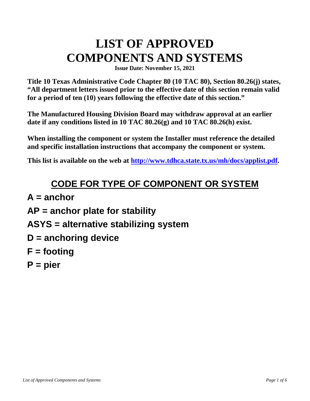## **LIST OF APPROVED COMPONENTS AND SYSTEMS**

**Issue Date: November 15, 2021**

**Title 10 Texas Administrative Code Chapter 80 (10 TAC 80), Section 80.26(j) states, "All department letters issued prior to the effective date of this section remain valid for a period of ten (10) years following the effective date of this section."** 

**The Manufactured Housing Division Board may withdraw approval at an earlier date if any conditions listed in 10 TAC 80.26(g) and 10 TAC 80.26(h) exist.** 

**When installing the component or system the Installer must reference the detailed and specific installation instructions that accompany the component or system.**

**This list is available on the web at [http://www.tdhca.state.tx.us/mh/docs/applist.pdf.](http://www.tdhca.state.tx.us/mh/docs/applist.pdf)**

## **CODE FOR TYPE OF COMPONENT OR SYSTEM**

**A = anchor AP = anchor plate for stability ASYS = alternative stabilizing system D = anchoring device F = footing P = pier**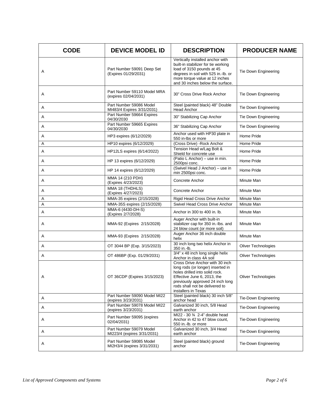| <b>CODE</b> | <b>DEVICE MODEL ID</b>                                 | <b>DESCRIPTION</b>                                                                                                                                                                                                                 | <b>PRODUCER NAME</b>        |
|-------------|--------------------------------------------------------|------------------------------------------------------------------------------------------------------------------------------------------------------------------------------------------------------------------------------------|-----------------------------|
| Α           | Part Number 59091 Deep Set<br>(Expires 01/29/2031)     | Vertically installed anchor with<br>built-in stabilizer for tie working<br>load of 3150 pounds at 45<br>degrees in soil with 525 in.-lb. or<br>more torque value at 12 inches<br>and 30 inches below the surface.                  | Tie Down Engineering        |
| Α           | Part Number 59110 Model MRA<br>(expires 02/04/2031)    | 30" Cross Drive Rock Anchor                                                                                                                                                                                                        | Tie Down Engineering        |
| Α           | Part Number 59086 Model<br>MI483/4 Expires 3/31/2031)  | Steel (painted black) 48" Double<br><b>Head Anchor</b>                                                                                                                                                                             | Tie Down Engineering        |
| Α           | Part Number 59664 Expires<br>04/30/2030                | 30" Stabilizing Cap Anchor                                                                                                                                                                                                         | Tie Down Engineering        |
| Α           | Part Number 59665 Expires<br>04/30/2030                | 36" Stabilizing Cap Anchor                                                                                                                                                                                                         | Tie Down Engineering        |
| Α           | HP3 expires (6/12/2029)                                | Anchor used with HP30 plate in<br>550 in-lbs or more                                                                                                                                                                               | Home Pride                  |
| Α           | HP10 expires (6/12/2029)                               | (Cross Drive) - Rock Anchor                                                                                                                                                                                                        | Home Pride                  |
| Α           | HP12LS expires (6/14/2022)                             | Tension Head w/Lag Bolt &<br>Shield for concrete use                                                                                                                                                                               | Home Pride                  |
| Α           | HP 13 expires (6/12/2029)                              | (Patio L Anchor) - use in min.<br>2500psi conc.                                                                                                                                                                                    | Home Pride                  |
| Α           | HP 14 expires (6/12/2029)                              | (Swivel Head J Anchor) - use in<br>min 2500psi conc.                                                                                                                                                                               | Home Pride                  |
| Α           | MMA 14 (210 PDH)<br>(Expires 4/23/2023)                | Concrete Anchor                                                                                                                                                                                                                    | Minute Man                  |
| Α           | MMA 18 (THDHLS)<br>(Expires 4/27/2023)                 | Concrete Anchor                                                                                                                                                                                                                    | Minute Man                  |
| Α           | MMA-35 expires (2/15/2028)                             | Rigid Head Cross Drive Anchor                                                                                                                                                                                                      | Minute Man                  |
| Α           | MMA-35S expires (2/15/2028)                            | Swivel Head Cross Drive Anchor                                                                                                                                                                                                     | Minute Man                  |
| Α           | MMA-6 (4430-DH-S)<br>(Expires 2/7/2028)                | Anchor in 300 to 400 in. lb.                                                                                                                                                                                                       | Minute Man                  |
| Α           | MMA-92 (Expires 2/15/2028)                             | Auger Anchor with built-in<br>stabilizer cap for 350 in.-lbs. and<br>24 blow count (or more soil)                                                                                                                                  | Minute Man                  |
| Α           | MMA-93 (Expires 2/15/2028)                             | Auger Anchor 36 inch double<br>helix                                                                                                                                                                                               | Minute Man                  |
| Α           | OT 3044 BP (Exp. 3/15/2023)                            | 30 inch long two helix Anchor in<br>350 in.-lb.                                                                                                                                                                                    | Oliver Technologies         |
| Α           | OT 486BP (Exp. 01/29/2031)                             | 3/4" x 48 inch long single helix<br>Anchor in class 4A soil                                                                                                                                                                        | <b>Oliver Technologies</b>  |
| Α           | OT 36CDP (Expires 3/15/2023)                           | Cross Drive Anchor with 30 inch<br>long rods (or longer) inserted in<br>holes drilled into solid rock.<br>Effective June 6, 2013, the<br>previously approved 24 inch long<br>rods shall not be delivered to<br>installers in Texas | <b>Oliver Technologies</b>  |
| Α           | Part Number 59090 Model MI22<br>(expires 3/23/2031)    | Steel (painted black) 30 inch 5/8"<br>anchor head                                                                                                                                                                                  | Tie-Down Engineering        |
| Α           | Part Number 59078 Model MI22<br>(expires 3/23/2031)    | Galvanized 30 inch, 5/8 Head<br>earth anchor                                                                                                                                                                                       | Tie-Down Engineering        |
| Α           | Part Number 59095 (expires<br>02/04/2031)              | MI22 - 30 3/4 2-4" double head<br>Anchor in 42 to 47 blow count,<br>550 in.-lb. or more                                                                                                                                            | <b>Tie-Down Engineering</b> |
| A           | Part Number 59079 Model<br>MI223/4 (expires 3/31/2031) | Galvanized 30 inch, 3/4 Head<br>earth anchor                                                                                                                                                                                       | Tie-Down Engineering        |
| Α           | Part Number 59085 Model<br>MI2H3/4 (expires 3/31/2031) | Steel (painted black) ground<br>anchor                                                                                                                                                                                             | Tie-Down Engineering        |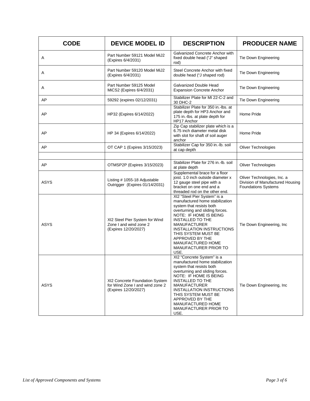| <b>CODE</b> | <b>DEVICE MODEL ID</b>                                                                    | <b>DESCRIPTION</b>                                                                                                                                                                                                                                                                                                                                         | <b>PRODUCER NAME</b>                                                                          |
|-------------|-------------------------------------------------------------------------------------------|------------------------------------------------------------------------------------------------------------------------------------------------------------------------------------------------------------------------------------------------------------------------------------------------------------------------------------------------------------|-----------------------------------------------------------------------------------------------|
| Α           | Part Number 59121 Model MiJ2<br>(Expires 6/4/2031)                                        | Galvanized Concrete Anchor with<br>fixed double head ("J" shaped<br>rod)                                                                                                                                                                                                                                                                                   | Tie Down Engineering                                                                          |
| Α           | Part Number 59120 Model MiJ2<br>(Expires 6/4/2031)                                        | Steel Concrete Anchor with fixed<br>double head ("J shaped rod)                                                                                                                                                                                                                                                                                            | Tie Down Engineering                                                                          |
| A           | Part Number 59125 Model<br>MiCS2 (Expires 6/4/2031)                                       | Galvanized Double Head<br><b>Expansion Concrete Anchor</b>                                                                                                                                                                                                                                                                                                 | Tie Down Engineering                                                                          |
| AP          | 59292 (expires 02/12/2031)                                                                | Stabilizer Plate for MI 22-C-2 and<br>30 DHC-2                                                                                                                                                                                                                                                                                                             | Tie Down Engineering                                                                          |
| AP          | HP32 (Expires 6/14/2022)                                                                  | Stabilizer Plate for 350 in.-lbs. at<br>plate depth for HP3 Anchor and<br>175 in.-Ibs. at plate depth for<br>HP17 Anchor                                                                                                                                                                                                                                   | Home Pride                                                                                    |
| AP          | HP 34 (Expires 6/14/2022)                                                                 | Zip Cap stabilizer plate which is a<br>6.75 inch diameter metal disk<br>with slot for shaft of soil auger<br>anchor                                                                                                                                                                                                                                        | Home Pride                                                                                    |
| AP          | OT CAP 1 (Expires 3/15/2023)                                                              | Stabilizer Cap for 350 in.-lb. soil<br>at cap depth                                                                                                                                                                                                                                                                                                        | <b>Oliver Technologies</b>                                                                    |
|             |                                                                                           |                                                                                                                                                                                                                                                                                                                                                            |                                                                                               |
| AP          | OTMSP2P (Expires 3/15/2023)                                                               | Stabilizer Plate for 276 in.-lb. soil<br>at plate depth                                                                                                                                                                                                                                                                                                    | <b>Oliver Technologies</b>                                                                    |
| ASYS        | Listing # 1055-18 Adjustable<br>Outrigger (Expires 01/14/2031)                            | Supplemental brace for a floor<br>joist. 1.0 inch outside diameter x<br>12 gauge steel pipe with a<br>bracket on one end and a<br>threaded rod on the other end.                                                                                                                                                                                           | Oliver Technologies, Inc. a<br>Division of Manufactured Housing<br><b>Foundations Systems</b> |
| <b>ASYS</b> | XI2 Steel Pier System for Wind<br>Zone I and wind zone 2<br>(Expires 12/20/2027)          | XI2 "Steel Pier System" is a<br>manufactured home stabilization<br>system that resists both<br>overturning and sliding forces.<br>NOTE: IF HOME IS BEING<br><b>INSTALLED TO THE</b><br><b>MANUFACTURER</b><br><b>INSTALLATION INSTRUCTIONS</b><br>THIS SYSTEM MUST BE<br>APPROVED BY THE<br><b>MANUFACTURED HOME</b><br>MANUFACTURER PRIOR TO<br>USE.      | Tie Down Engineering, Inc.                                                                    |
| <b>ASYS</b> | XI2 Concrete Foundation System<br>for Wind Zone I and wind zone 2<br>(Expires 12/20/2027) | XI2 "Concrete System" is a<br>manufactured home stabilization<br>system that resists both<br>overturning and sliding forces.<br>NOTE: IF HOME IS BEING<br><b>INSTALLED TO THE</b><br><b>MANUFACTURER</b><br><b>INSTALLATION INSTRUCTIONS</b><br>THIS SYSTEM MUST BE<br>APPROVED BY THE<br><b>MANUFACTURED HOME</b><br><b>MANUFACTURER PRIOR TO</b><br>USE. | Tie Down Engineering, Inc.                                                                    |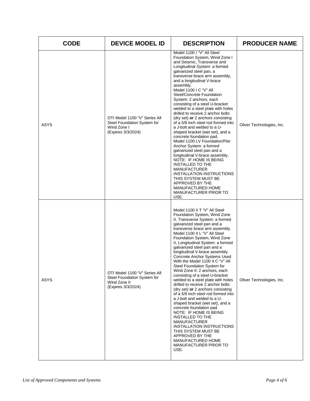| <b>CODE</b> | <b>DEVICE MODEL ID</b>                                                                             | <b>DESCRIPTION</b>                                                                                                                                                                                                                                                                                                                                                                                                                                                                                                                                                                                                                                                                                                                                                                                                                                                                                                                                                                 | <b>PRODUCER NAME</b>      |
|-------------|----------------------------------------------------------------------------------------------------|------------------------------------------------------------------------------------------------------------------------------------------------------------------------------------------------------------------------------------------------------------------------------------------------------------------------------------------------------------------------------------------------------------------------------------------------------------------------------------------------------------------------------------------------------------------------------------------------------------------------------------------------------------------------------------------------------------------------------------------------------------------------------------------------------------------------------------------------------------------------------------------------------------------------------------------------------------------------------------|---------------------------|
| <b>ASYS</b> | OTI Model 1100 "V" Series All<br>Steel Foundation System for<br>Wind Zone I<br>(Expires 3/3/2024)  | Model 1100 I "V" All Steel<br>Foundation System, Wind Zone I<br>and Seismic, Transverse and<br>Longitudinal System: a formed<br>galvanized steel pan, a<br>transverse brace arm assembly,<br>and a longitudinal V-brace<br>assembly.<br>Model 1100 I C "V" All<br>Steel/Concrete Foundation<br>System: 2 anchors, each<br>consisting of a steel U-bracket<br>welded to a steel plate with holes<br>drilled to receive 2 anchor bolts<br>(dry set) or 2 anchors consisting<br>of a 5/8 inch steel rod formed into<br>a J-bolt and welded to a U-<br>shaped bracket (wet set), and a<br>concrete foundation pad.<br>Model 1100 LV Foundation/Pier<br>Anchor System: a formed<br>galvanized steel pan and a<br>longitudinal V-brace assembly.<br>NOTE: IF HOME IS BEING<br><b>INSTALLED TO THE</b><br><b>MANUFACTURER</b><br><b>INSTALLATION INSTRUCTIONS</b><br>THIS SYSTEM MUST BE<br>APPROVED BY THE<br>MANUFACTURED HOME<br><b>MANUFACTURER PRIOR TO</b><br>USE.                  | Oliver Technologies, Inc. |
| <b>ASYS</b> | OTI Model 1100 "V" Series All<br>Steel Foundation System for<br>Wind Zone II<br>(Expires 3/3/2024) | Model 1100 II T "V" All Steel<br>Foundation System, Wind Zone<br>II, Transverse System: a formed<br>galvanized steel pan and a<br>transverse brace arm assembly.<br>Model 1100 II L "V" All Steel<br>Foundation System, Wind Zone<br>II, Longitudinal System: a formed<br>galvanized steel pan and a<br>longitudinal V-brace assembly.<br>Concrete Anchor Systems Used<br>With the Model 1100 II C "V" All<br>Steel Foundation System for<br>Wind Zone II: 2 anchors, each<br>consisting of a steel U-bracket<br>welded to a steel plate with holes<br>drilled to receive 2 anchor bolts<br>(dry set) or 2 anchors consisting<br>of a 5/8 inch steel rod formed into<br>a J-bolt and welded to a U-<br>shaped bracket (wet set), and a<br>concrete foundation pad.<br>NOTE: IF HOME IS BEING<br><b>INSTALLED TO THE</b><br><b>MANUFACTURER</b><br>INSTALLATION INSTRUCTIONS<br>THIS SYSTEM MUST BE<br>APPROVED BY THE<br><b>MANUFACTURED HOME</b><br>MANUFACTURER PRIOR TO<br>USE. | Oliver Technologies, Inc. |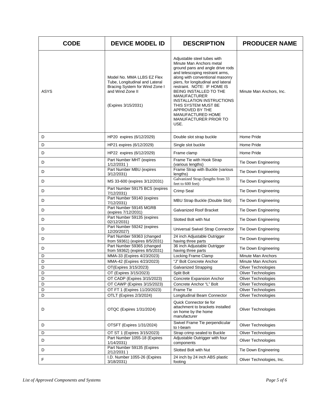| <b>CODE</b> | <b>DEVICE MODEL ID</b>                                                                                                                    | <b>DESCRIPTION</b>                                                                                                                                                                                                                                                                                                                                                                                                                  | <b>PRODUCER NAME</b>       |
|-------------|-------------------------------------------------------------------------------------------------------------------------------------------|-------------------------------------------------------------------------------------------------------------------------------------------------------------------------------------------------------------------------------------------------------------------------------------------------------------------------------------------------------------------------------------------------------------------------------------|----------------------------|
| <b>ASYS</b> | Model No. MMA LLBS EZ Flex<br>Tube, Longitudinal and Lateral<br>Bracing System for Wind Zone I<br>and Wind Zone II<br>(Expires 3/15/2031) | Adjustable steel tubes with<br>Minute Man Anchors metal<br>ground pans and angle drive rods<br>and telescoping restraint arms,<br>along with conventional masonry<br>piers, for longitudinal and lateral<br>restraint. NOTE: IF HOME IS<br>BEING INSTALLED TO THE<br><b>MANUFACTURER</b><br><b>INSTALLATION INSTRUCTIONS</b><br>THIS SYSTEM MUST BE<br>APPROVED BY THE<br>MANUFACTURED HOME<br><b>MANUFACTURER PRIOR TO</b><br>USE. | Minute Man Anchors, Inc.   |
| D           | HP20 expires (6/12/2029)                                                                                                                  | Double slot strap buckle                                                                                                                                                                                                                                                                                                                                                                                                            | Home Pride                 |
| D           | HP21 expires (6/12/2029)                                                                                                                  | Single slot buckle                                                                                                                                                                                                                                                                                                                                                                                                                  | Home Pride                 |
| D           | HP22 expires (6/12/2029)                                                                                                                  | Frame clamp                                                                                                                                                                                                                                                                                                                                                                                                                         | Home Pride                 |
| D           | Part Number MHT (expires<br>$1/12/2031$ )                                                                                                 | Frame Tie with Hook Strap<br>(various lengths)                                                                                                                                                                                                                                                                                                                                                                                      | Tie Down Engineering       |
| D           | Part Number MBU (expires<br>3/12/2031)                                                                                                    | Frame Strap with Buckle (various<br>lengths)                                                                                                                                                                                                                                                                                                                                                                                        | Tie Down Engineering       |
| D           | MS 33-600 (expires 3/12/2031)                                                                                                             | Galvanized Strap (lengths from 33<br>feet to 600 feet)                                                                                                                                                                                                                                                                                                                                                                              | Tie Down Engineering       |
| D           | Part Number 59175 BCS (expires<br>7/12/2031)                                                                                              | Crimp Seal                                                                                                                                                                                                                                                                                                                                                                                                                          | Tie Down Engineering       |
| D           | Part Number 59140 (expires<br>7/12/2031)                                                                                                  | MBU Strap Buckle (Double Slot)                                                                                                                                                                                                                                                                                                                                                                                                      | Tie Down Engineering       |
| D           | Part Number 59145 MGRB<br>(expires 7/12/2031)                                                                                             | <b>Galvanized Roof Bracket</b>                                                                                                                                                                                                                                                                                                                                                                                                      | Tie Down Engineering       |
| D           | Part Number 59135 (expires<br>02/12/2031)                                                                                                 | Slotted Bolt with Nut                                                                                                                                                                                                                                                                                                                                                                                                               | Tie Down Engineering       |
| D           | Part Number 59242 (expires<br>12/20/2027)                                                                                                 | Universal Swivel Strap Connector                                                                                                                                                                                                                                                                                                                                                                                                    | Tie Down Engineering       |
| D           | Part Number 59363 (changed<br>from 59361) (expires 8/5/2031)                                                                              | 24 inch Adjustable Outrigger<br>having three parts                                                                                                                                                                                                                                                                                                                                                                                  | Tie Down Engineering       |
| D           | Part Number 59365 (changed<br>from 59362) (expires 8/5/2031)                                                                              | 36 inch Adjustable Outrigger<br>having three parts                                                                                                                                                                                                                                                                                                                                                                                  | Tie Down Engineering       |
| D           | MMA-33 (Expires 4/23/2023)                                                                                                                | Locking Frame Clamp                                                                                                                                                                                                                                                                                                                                                                                                                 | <b>Minute Man Anchors</b>  |
| D           | MMA-42 (Expires 4/23/2023)                                                                                                                | "J" Bolt Concrete Anchor                                                                                                                                                                                                                                                                                                                                                                                                            | Minute Man Anchors         |
| D           | OT(Expires 3/15/2023)                                                                                                                     | <b>Galvanized Strapping</b>                                                                                                                                                                                                                                                                                                                                                                                                         | <b>Oliver Technologies</b> |
| D           | OT (Expires 3/15/2023)                                                                                                                    | Split Bolt                                                                                                                                                                                                                                                                                                                                                                                                                          | Oliver Technologies        |
| D           | OT CADP (Expires 3/15/2023)                                                                                                               | Concrete Expansion Anchor                                                                                                                                                                                                                                                                                                                                                                                                           | <b>Oliver Technologies</b> |
| D           | OT CAWP (Expires 3/15/2023)                                                                                                               | Concrete Anchor "L" Bolt                                                                                                                                                                                                                                                                                                                                                                                                            | <b>Oliver Technologies</b> |
| D           | OT FT 1 (Expires 11/20/2023)                                                                                                              | Frame Tie                                                                                                                                                                                                                                                                                                                                                                                                                           | Oliver Technologies        |
| D           | OTLT (Expires 2/3/2024)                                                                                                                   | Longitudinal Beam Connector                                                                                                                                                                                                                                                                                                                                                                                                         | <b>Oliver Technologies</b> |
| D           | OTQC (Expires 1/31/2024)                                                                                                                  | Quick Connector tie for<br>attachment to brackets installed<br>on home by the home<br>manufacturer                                                                                                                                                                                                                                                                                                                                  | <b>Oliver Technologies</b> |
| D           | OTSFT (Expires 1/31/2024)                                                                                                                 | Swivel Frame Tie perpendicular<br>to I-beam                                                                                                                                                                                                                                                                                                                                                                                         | <b>Oliver Technologies</b> |
| D           | OT ST 1 (Expires 3/15/2023)                                                                                                               | Strap crimp sealed to Buckle                                                                                                                                                                                                                                                                                                                                                                                                        | <b>Oliver Technologies</b> |
| D           | Part Number 1055-18 (Expires<br>1/14/2031)                                                                                                | Adjustable Outrigger with four<br>components                                                                                                                                                                                                                                                                                                                                                                                        | Oliver Technologies        |
| D           | Part Number 59135 (Expires<br>2/12/2031)                                                                                                  | Slotted Bolt with Nut                                                                                                                                                                                                                                                                                                                                                                                                               | Tie Down Engineering       |
| F           | I.D. Number 1055-26 (Expires<br>3/18/2031)                                                                                                | 24 inch by 24 inch ABS plastic<br>footing                                                                                                                                                                                                                                                                                                                                                                                           | Oliver Technologies, Inc.  |